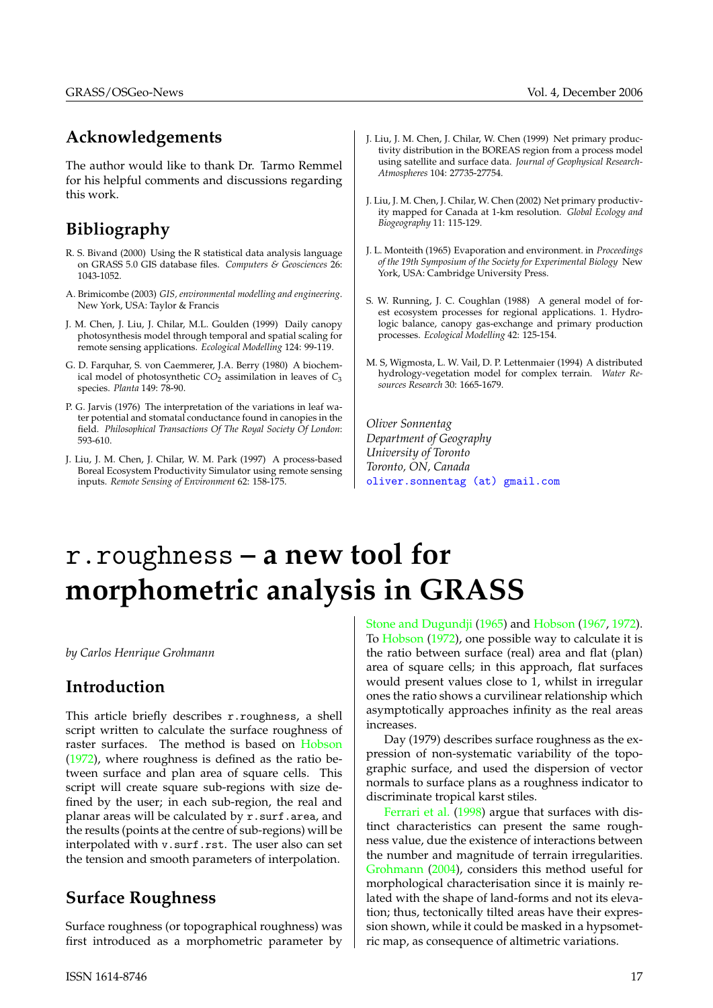# **Acknowledgements**

The author would like to thank Dr. Tarmo Remmel for his helpful comments and discussions regarding this work.

# **Bibliography**

- R. S. Bivand (2000) Using the R statistical data analysis language on GRASS 5.0 GIS database files. *Computers & Geosciences* 26: 1043-1052.
- A. Brimicombe (2003) *GIS, environmental modelling and engineering*. New York, USA: Taylor & Francis
- J. M. Chen, J. Liu, J. Chilar, M.L. Goulden (1999) Daily canopy photosynthesis model through temporal and spatial scaling for remote sensing applications. *Ecological Modelling* 124: 99-119.
- G. D. Farquhar, S. von Caemmerer, J.A. Berry (1980) A biochemical model of photosynthetic  $CO<sub>2</sub>$  assimilation in leaves of  $C<sub>3</sub>$ species. *Planta* 149: 78-90.
- P. G. Jarvis (1976) The interpretation of the variations in leaf water potential and stomatal conductance found in canopies in the field. *Philosophical Transactions Of The Royal Society Of London*: 593-610.
- J. Liu, J. M. Chen, J. Chilar, W. M. Park (1997) A process-based Boreal Ecosystem Productivity Simulator using remote sensing inputs. *Remote Sensing of Environment* 62: 158-175.
- J. Liu, J. M. Chen, J. Chilar, W. Chen (1999) Net primary productivity distribution in the BOREAS region from a process model using satellite and surface data. *Journal of Geophysical Research-Atmospheres* 104: 27735-27754.
- J. Liu, J. M. Chen, J. Chilar, W. Chen (2002) Net primary productivity mapped for Canada at 1-km resolution. *Global Ecology and Biogeography* 11: 115-129.
- J. L. Monteith (1965) Evaporation and environment. in *Proceedings of the 19th Symposium of the Society for Experimental Biology* New York, USA: Cambridge University Press.
- S. W. Running, J. C. Coughlan (1988) A general model of forest ecosystem processes for regional applications. 1. Hydrologic balance, canopy gas-exchange and primary production processes. *Ecological Modelling* 42: 125-154.
- M. S, Wigmosta, L. W. Vail, D. P. Lettenmaier (1994) A distributed hydrology-vegetation model for complex terrain. *Water Resources Research* 30: 1665-1679.

*Oliver Sonnentag Department of Geography University of Toronto Toronto, ON, Canada* [oliver.sonnentag \(at\) gmail.com](mailto:oliver.sonnentag (at) gmail.com)

# r.roughness **– a new tool for morphometric analysis in GRASS**

*by Carlos Henrique Grohmann*

#### **Introduction**

This article briefly describes r.roughness, a shell script written to calculate the surface roughness of raster surfaces. The method is based on [Hobson](#page-2-0) [\(1972\)](#page-2-0), where roughness is defined as the ratio between surface and plan area of square cells. This script will create square sub-regions with size defined by the user; in each sub-region, the real and planar areas will be calculated by r.surf.area, and the results (points at the centre of sub-regions) will be interpolated with v.surf.rst. The user also can set the tension and smooth parameters of interpolation.

#### **Surface Roughness**

Surface roughness (or topographical roughness) was first introduced as a morphometric parameter by

[Stone and Dugundji](#page-2-1) [\(1965\)](#page-2-1) and [Hobson](#page-2-2) [\(1967,](#page-2-2) [1972\)](#page-2-0). To [Hobson](#page-2-0) [\(1972\)](#page-2-0), one possible way to calculate it is the ratio between surface (real) area and flat (plan) area of square cells; in this approach, flat surfaces would present values close to 1, whilst in irregular ones the ratio shows a curvilinear relationship which asymptotically approaches infinity as the real areas increases.

Day (1979) describes surface roughness as the expression of non-systematic variability of the topographic surface, and used the dispersion of vector normals to surface plans as a roughness indicator to discriminate tropical karst stiles.

[Ferrari et al.](#page-2-3) [\(1998\)](#page-2-3) argue that surfaces with distinct characteristics can present the same roughness value, due the existence of interactions between the number and magnitude of terrain irregularities. [Grohmann](#page-2-4) [\(2004\)](#page-2-4), considers this method useful for morphological characterisation since it is mainly related with the shape of land-forms and not its elevation; thus, tectonically tilted areas have their expression shown, while it could be masked in a hypsometric map, as consequence of altimetric variations.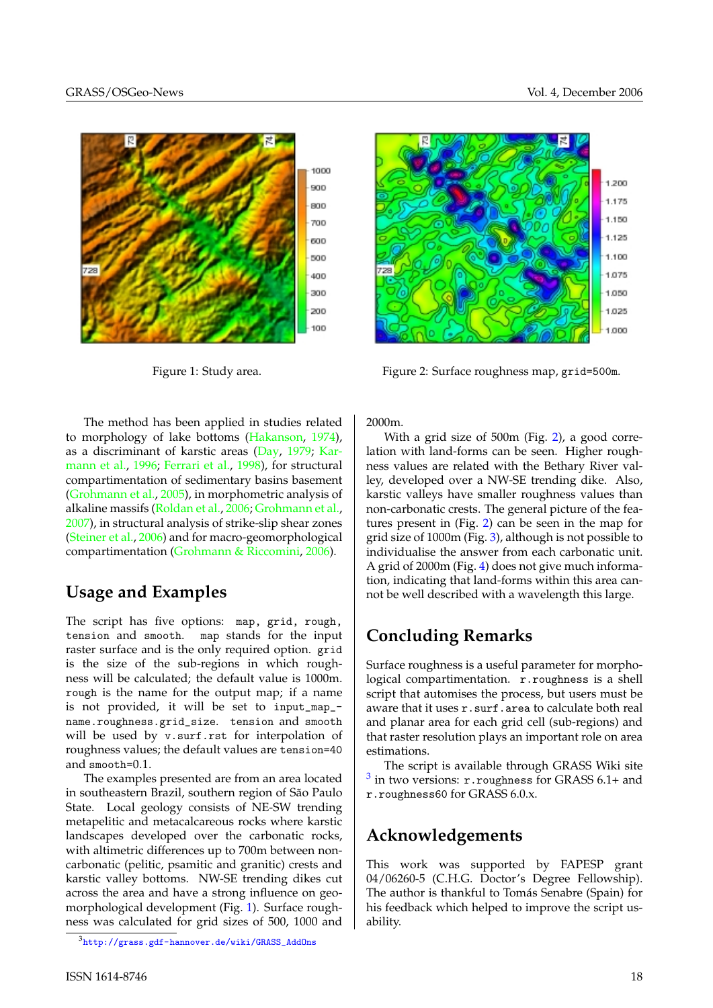

<span id="page-1-0"></span>

The method has been applied in studies related to morphology of lake bottoms [\(Hakanson,](#page-2-5) [1974\)](#page-2-5), as a discriminant of karstic areas [\(Day,](#page-2-6) [1979;](#page-2-6) [Kar](#page-2-7)[mann et al.,](#page-2-7) [1996;](#page-2-7) [Ferrari et al.,](#page-2-3) [1998\)](#page-2-3), for structural compartimentation of sedimentary basins basement [\(Grohmann et al.,](#page-2-8) [2005\)](#page-2-8), in morphometric analysis of alkaline massifs [\(Roldan et al.,](#page-2-9) [2006;](#page-2-9) [Grohmann et al.,](#page-2-10) [2007\)](#page-2-10), in structural analysis of strike-slip shear zones [\(Steiner et al.,](#page-2-11) [2006\)](#page-2-11) and for macro-geomorphological compartimentation [\(Grohmann & Riccomini,](#page-2-12) [2006\)](#page-2-12).

#### **Usage and Examples**

The script has five options: map, grid, rough, tension and smooth. map stands for the input raster surface and is the only required option. grid is the size of the sub-regions in which roughness will be calculated; the default value is 1000m. rough is the name for the output map; if a name is not provided, it will be set to input\_map\_ name.roughness.grid\_size. tension and smooth will be used by v.surf.rst for interpolation of roughness values; the default values are tension=40 and smooth=0.1.

The examples presented are from an area located in southeastern Brazil, southern region of São Paulo State. Local geology consists of NE-SW trending metapelitic and metacalcareous rocks where karstic landscapes developed over the carbonatic rocks, with altimetric differences up to 700m between noncarbonatic (pelitic, psamitic and granitic) crests and karstic valley bottoms. NW-SE trending dikes cut across the area and have a strong influence on geomorphological development (Fig. [1\)](#page-1-0). Surface roughness was calculated for grid sizes of 500, 1000 and



Figure 1: Study area. Figure 2: Surface roughness map, grid=500m.

<span id="page-1-1"></span>2000m.

With a grid size of 500m (Fig. [2\)](#page-1-1), a good correlation with land-forms can be seen. Higher roughness values are related with the Bethary River valley, developed over a NW-SE trending dike. Also, karstic valleys have smaller roughness values than non-carbonatic crests. The general picture of the features present in (Fig. [2\)](#page-1-1) can be seen in the map for grid size of 1000m (Fig. [3\)](#page-2-13), although is not possible to individualise the answer from each carbonatic unit. A grid of 2000m (Fig. [4\)](#page-2-14) does not give much information, indicating that land-forms within this area cannot be well described with a wavelength this large.

# **Concluding Remarks**

Surface roughness is a useful parameter for morphological compartimentation. r.roughness is a shell script that automises the process, but users must be aware that it uses r.surf.area to calculate both real and planar area for each grid cell (sub-regions) and that raster resolution plays an important role on area estimations.

The script is available through GRASS Wiki site  $3$  in two versions:  $r$ . roughness for GRASS 6.1+ and r.roughness60 for GRASS 6.0.x.

## **Acknowledgements**

This work was supported by FAPESP grant 04/06260-5 (C.H.G. Doctor's Degree Fellowship). The author is thankful to Tomás Senabre (Spain) for his feedback which helped to improve the script usability.

1.075

1.050

1.025

1.000

<span id="page-1-2"></span><sup>3</sup>[http://grass.gdf-hannover.de/wiki/GRASS\\_AddOns](http://grass.gdf-hannover.de/wiki/GRASS_AddOns)